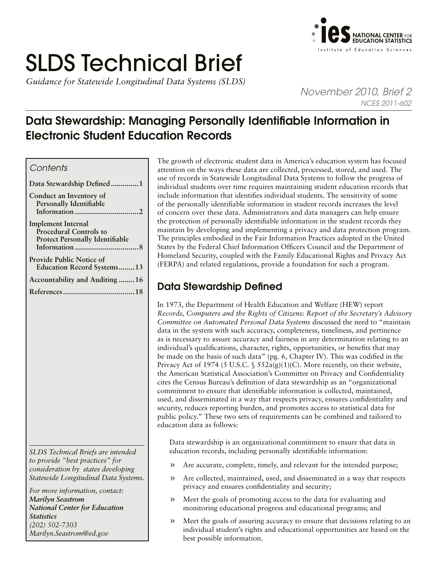# SLDS Technical Brief

*Guidance for Statewide Longitudinal Data Systems (SLDS)* 



*November 2010, Brief 2 NCES 2011-602*

# Data Stewardship: Managing Personally Identifiable Information in Electronic Student Education Records

## *Contents*

| Data Stewardship Defined1                                                                            |
|------------------------------------------------------------------------------------------------------|
| Conduct an Inventory of<br>Personally Identifiable                                                   |
| <b>Implement Internal</b><br><b>Procedural Controls to</b><br><b>Protect Personally Identifiable</b> |
| <b>Provide Public Notice of</b><br><b>Education Record Systems13</b>                                 |
| Accountability and Auditing 16                                                                       |
|                                                                                                      |

*SLDS Technical Briefs are intended to provide "best practices" for consideration by states developing Statewide Longitudinal Data Systems.* 

*For more information, contact: Marilyn Seastrom National Center for Education Statistics (202) 502-7303 [Marilyn.Seastrom@ed.gov](mailto:Marilyn.Seastrom%40ed.gov?subject=)*

The growth of electronic student data in America's education system has focused attention on the ways these data are collected, processed, stored, and used. The use of records in Statewide Longitudinal Data Systems to follow the progress of individual students over time requires maintaining student education records that include information that identifies individual students. The sensitivity of some of the personally identifiable information in student records increases the level of concern over these data. Administrators and data managers can help ensure the protection of personally identifiable information in the student records they maintain by developing and implementing a privacy and data protection program. The principles embodied in the Fair Information Practices adopted in the United States by the Federal Chief Information Officers Council and the Department of Homeland Security, coupled with the Family Educational Rights and Privacy Act (FERPA) and related regulations, provide a foundation for such a program.

# Data Stewardship Defined

In 1973, the Department of Health Education and Welfare (HEW) report *Records, Computers and the Rights of Citizens: Report of the Secretary's Advisory Committee on Automated Personal Data Systems* discussed the need to "maintain data in the system with such accuracy, completeness, timeliness, and pertinence as is necessary to assure accuracy and fairness in any determination relating to an individual's qualifications, character, rights, opportunities, or benefits that may be made on the basis of such data" (pg. 6, Chapter IV). This was codified in the Privacy Act of 1974 (5 U.S.C. §  $552a(g)(1)(C)$ . More recently, on their website, the American Statistical Association's Committee on Privacy and Confidentiality cites the Census Bureau's definition of data stewardship as an "organizational commitment to ensure that identifiable information is collected, maintained, used, and disseminated in a way that respects privacy, ensures confidentiality and security, reduces reporting burden, and promotes access to statistical data for public policy." These two sets of requirements can be combined and tailored to education data as follows:

Data stewardship is an organizational commitment to ensure that data in education records, including personally identifiable information:

- » Are accurate, complete, timely, and relevant for the intended purpose;
- » Are collected, maintained, used, and disseminated in a way that respects privacy and ensures confidentiality and security;
- » Meet the goals of promoting access to the data for evaluating and monitoring educational progress and educational programs; and
- » Meet the goals of assuring accuracy to ensure that decisions relating to an individual student's rights and educational opportunities are based on the best possible information.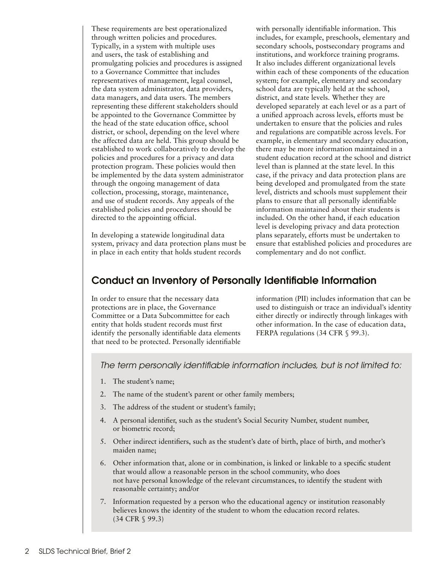<span id="page-1-0"></span>These requirements are best operationalized through written policies and procedures. Typically, in a system with multiple uses and users, the task of establishing and promulgating policies and procedures is assigned to a Governance Committee that includes representatives of management, legal counsel, the data system administrator, data providers, data managers, and data users. The members representing these different stakeholders should be appointed to the Governance Committee by the head of the state education office, school district, or school, depending on the level where the affected data are held. This group should be established to work collaboratively to develop the policies and procedures for a privacy and data protection program. These policies would then be implemented by the data system administrator through the ongoing management of data collection, processing, storage, maintenance, and use of student records. Any appeals of the established policies and procedures should be directed to the appointing official.

In developing a statewide longitudinal data system, privacy and data protection plans must be in place in each entity that holds student records

with personally identifiable information. This includes, for example, preschools, elementary and secondary schools, postsecondary programs and institutions, and workforce training programs. It also includes different organizational levels within each of these components of the education system; for example, elementary and secondary school data are typically held at the school, district, and state levels. Whether they are developed separately at each level or as a part of a unified approach across levels, efforts must be undertaken to ensure that the policies and rules and regulations are compatible across levels. For example, in elementary and secondary education, there may be more information maintained in a student education record at the school and district level than is planned at the state level. In this case, if the privacy and data protection plans are being developed and promulgated from the state level, districts and schools must supplement their plans to ensure that all personally identifiable information maintained about their students is included. On the other hand, if each education level is developing privacy and data protection plans separately, efforts must be undertaken to ensure that established policies and procedures are complementary and do not conflict.

## Conduct an Inventory of Personally Identifiable Information

In order to ensure that the necessary data protections are in place, the Governance Committee or a Data Subcommittee for each entity that holds student records must first identify the personally identifiable data elements that need to be protected. Personally identifiable information (PII) includes information that can be used to distinguish or trace an individual's identity either directly or indirectly through linkages with other information. In the case of education data, FERPA regulations (34 CFR § 99.3).

*The term personally identifiable information includes, but is not limited to:*

- 1. The student's name;
- 2. The name of the student's parent or other family members;
- 3. The address of the student or student's family;
- 4. A personal identifier, such as the student's Social Security Number, student number, or biometric record;
- 5. Other indirect identifiers, such as the student's date of birth, place of birth, and mother's maiden name;
- 6. Other information that, alone or in combination, is linked or linkable to a specific student that would allow a reasonable person in the school community, who does not have personal knowledge of the relevant circumstances, to identify the student with reasonable certainty; and/or
- 7. Information requested by a person who the educational agency or institution reasonably believes knows the identity of the student to whom the education record relates. (34 CFR § 99.3)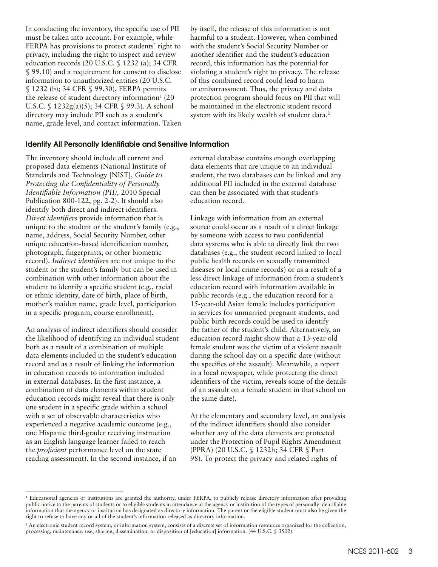In conducting the inventory, the specific use of PII must be taken into account. For example, while FERPA has provisions to protect students' right to privacy, including the right to inspect and review education records (20 U.S.C. § 1232 (a); 34 CFR § 99.10) and a requirement for consent to disclose information to unauthorized entities (20 U.S.C. § 1232 (b); 34 CFR § 99.30), FERPA permits the release of student directory information $1(20)$ U.S.C. § 1232g(a)(5); 34 CFR § 99.3). A school directory may include PII such as a student's name, grade level, and contact information. Taken by itself, the release of this information is not harmful to a student. However, when combined with the student's Social Security Number or another identifier and the student's education record, this information has the potential for violating a student's right to privacy. The release of this combined record could lead to harm or embarrassment. Thus, the privacy and data protection program should focus on PII that will be maintained in the electronic student record system with its likely wealth of student data.<sup>2</sup>

#### Identify All Personally Identifiable and Sensitive Information

The inventory should include all current and proposed data elements (National Institute of Standards and Technology [NIST], *Guide to Protecting the Confidentiality of Personally Identifiable Information (PII),* 2010 Special Publication 800-122, pg. 2-2). It should also identify both direct and indirect identifiers. *Direct identifiers* provide information that is unique to the student or the student's family (e.g., name, address, Social Security Number, other unique education-based identification number, photograph, fingerprints, or other biometric record). *Indirect identifiers* are not unique to the student or the student's family but can be used in combination with other information about the student to identify a specific student (e.g., racial or ethnic identity, date of birth, place of birth, mother's maiden name, grade level, participation in a specific program, course enrollment).

An analysis of indirect identifiers should consider the likelihood of identifying an individual student both as a result of a combination of multiple data elements included in the student's education record and as a result of linking the information in education records to information included in external databases. In the first instance, a combination of data elements within student education records might reveal that there is only one student in a specific grade within a school with a set of observable characteristics who experienced a negative academic outcome (e.g., one Hispanic third-grader receiving instruction as an English language learner failed to reach the *proficient* performance level on the state reading assessment). In the second instance, if an

external database contains enough overlapping data elements that are unique to an individual student, the two databases can be linked and any additional PII included in the external database can then be associated with that student's education record.

Linkage with information from an external source could occur as a result of a direct linkage by someone with access to two confidential data systems who is able to directly link the two databases (e.g., the student record linked to local public health records on sexually transmitted diseases or local crime records) or as a result of a less direct linkage of information from a student's education record with information available in public records (e.g., the education record for a 15-year-old Asian female includes participation in services for unmarried pregnant students, and public birth records could be used to identify the father of the student's child. Alternatively, an education record might show that a 13-year-old female student was the victim of a violent assault during the school day on a specific date (without the specifics of the assault). Meanwhile, a report in a local newspaper, while protecting the direct identifiers of the victim, reveals some of the details of an assault on a female student in that school on the same date).

At the elementary and secondary level, an analysis of the indirect identifiers should also consider whether any of the data elements are protected under the Protection of Pupil Rights Amendment (PPRA) (20 U.S.C. § 1232h; 34 CFR § Part 98). To protect the privacy and related rights of

<sup>&</sup>lt;sup>1</sup> Educational agencies or institutions are granted the authority, under FERPA, to publicly release directory information after providing public notice to the parents of students or to eligible students in attendance at the agency or institution of the types of personally identifiable information that the agency or institution has designated as directory information. The parent or the eligible student must also be given the right to refuse to have any or all of the student's information released as directory information.

<sup>&</sup>lt;sup>2</sup> An electronic student record system, or information system, consists of a discrete set of information resources organized for the collection, processing, maintenance, use, sharing, dissemination, or disposition of [education] information. (44 U.S.C. § 3502)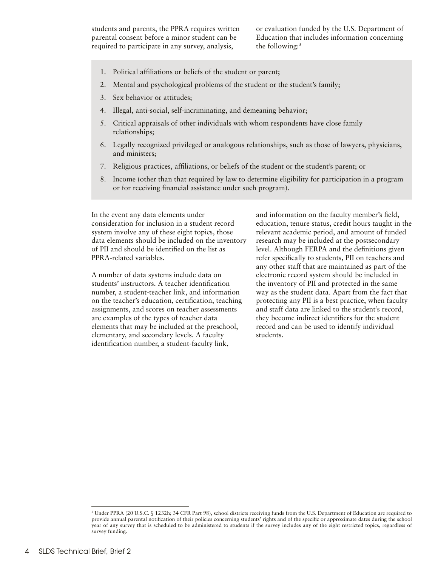students and parents, the PPRA requires written parental consent before a minor student can be required to participate in any survey, analysis,

or evaluation funded by the U.S. Department of Education that includes information concerning the following:<sup>3</sup>

- 1. Political affiliations or beliefs of the student or parent;
- 2. Mental and psychological problems of the student or the student's family;
- 3. Sex behavior or attitudes;
- 4. Illegal, anti-social, self-incriminating, and demeaning behavior;
- 5. Critical appraisals of other individuals with whom respondents have close family relationships;
- 6. Legally recognized privileged or analogous relationships, such as those of lawyers, physicians, and ministers;
- 7. Religious practices, affiliations, or beliefs of the student or the student's parent; or
- 8. Income (other than that required by law to determine eligibility for participation in a program or for receiving financial assistance under such program).

In the event any data elements under consideration for inclusion in a student record system involve any of these eight topics, those data elements should be included on the inventory of PII and should be identified on the list as PPRA-related variables.

A number of data systems include data on students' instructors. A teacher identification number, a student-teacher link, and information on the teacher's education, certification, teaching assignments, and scores on teacher assessments are examples of the types of teacher data elements that may be included at the preschool, elementary, and secondary levels. A faculty identification number, a student-faculty link,

and information on the faculty member's field, education, tenure status, credit hours taught in the relevant academic period, and amount of funded research may be included at the postsecondary level. Although FERPA and the definitions given refer specifically to students, PII on teachers and any other staff that are maintained as part of the electronic record system should be included in the inventory of PII and protected in the same way as the student data. Apart from the fact that protecting any PII is a best practice, when faculty and staff data are linked to the student's record, they become indirect identifiers for the student record and can be used to identify individual students.

<sup>3</sup> Under PPRA (20 U.S.C. § 1232h; 34 CFR Part 98), school districts receiving funds from the U.S. Department of Education are required to provide annual parental notification of their policies concerning students' rights and of the specific or approximate dates during the school year of any survey that is scheduled to be administered to students if the survey includes any of the eight restricted topics, regardless of survey funding.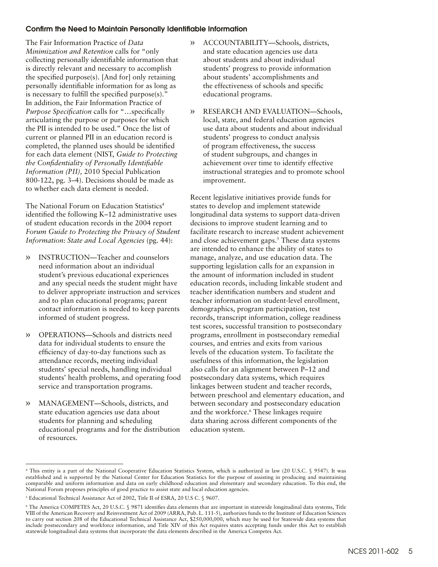#### Confirm the Need to Maintain Personally Identifiable Information

The Fair Information Practice of *Data Minimization and Retention* calls for "only collecting personally identifiable information that is directly relevant and necessary to accomplish the specified purpose(s). [And for] only retaining personally identifiable information for as long as is necessary to fulfill the specified purpose(s)." In addition, the Fair Information Practice of *Purpose Specification* calls for "…specifically articulating the purpose or purposes for which the PII is intended to be used." Once the list of current or planned PII in an education record is completed, the planned uses should be identified for each data element (NIST, *Guide to Protecting the Confidentiality of Personally Identifiable Information (PII),* 2010 Special Publication 800-122, pg. 3–4). Decisions should be made as to whether each data element is needed.

The National Forum on Education Statistics<sup>4</sup> identified the following K–12 administrative uses of student education records in the 2004 report *Forum Guide to Protecting the Privacy of Student Information: State and Local Agencies* (pg. 44):

- » INSTRUCTION—Teacher and counselors need information about an individual student's previous educational experiences and any special needs the student might have to deliver appropriate instruction and services and to plan educational programs; parent contact information is needed to keep parents informed of student progress.
- » OPERATIONS—Schools and districts need data for individual students to ensure the efficiency of day-to-day functions such as attendance records, meeting individual students' special needs, handling individual students' health problems, and operating food service and transportation programs.
- » MANAGEMENT—Schools, districts, and state education agencies use data about students for planning and scheduling educational programs and for the distribution of resources.
- » ACCOUNTABILITY—Schools, districts, and state education agencies use data about students and about individual students' progress to provide information about students' accomplishments and the effectiveness of schools and specific educational programs.
- » RESEARCH AND EVALUATION—Schools, local, state, and federal education agencies use data about students and about individual students' progress to conduct analysis of program effectiveness, the success of student subgroups, and changes in achievement over time to identify effective instructional strategies and to promote school improvement.

Recent legislative initiatives provide funds for states to develop and implement statewide longitudinal data systems to support data-driven decisions to improve student learning and to facilitate research to increase student achievement and close achievement gaps. $<sup>5</sup>$  These data systems</sup> are intended to enhance the ability of states to manage, analyze, and use education data. The supporting legislation calls for an expansion in the amount of information included in student education records, including linkable student and teacher identification numbers and student and teacher information on student-level enrollment, demographics, program participation, test records, transcript information, college readiness test scores, successful transition to postsecondary programs, enrollment in postsecondary remedial courses, and entries and exits from various levels of the education system. To facilitate the usefulness of this information, the legislation also calls for an alignment between P–12 and postsecondary data systems, which requires linkages between student and teacher records, between preschool and elementary education, and between secondary and postsecondary education and the workforce.6 These linkages require data sharing across different components of the education system.

<sup>4</sup> This entity is a part of the National Cooperative Education Statistics System, which is authorized in law (20 U.S.C. § 9547). It was established and is supported by the National Center for Education Statistics for the purpose of assisting in producing and maintaining comparable and uniform information and data on early childhood education and elementary and secondary education. To this end, the National Forum proposes principles of good practice to assist state and local education agencies.

<sup>5</sup> Educational Technical Assistance Act of 2002, Title II of ESRA, 20 U.S C. § 9607.

<sup>6</sup> The America COMPETES Act, 20 U.S.C. § 9871 identifies data elements that are important in statewide longitudinal data systems, Title VIII of the American Recovery and Reinvestment Act of 2009 (ARRA, Pub. L. 111-5), authorizes funds to the Institute of Education Sciences to carry out section 208 of the Educational Technical Assistance Act, \$250,000,000, which may be used for Statewide data systems that include postsecondary and workforce information, and Title XIV of this Act requires states accepting funds under this Act to establish statewide longitudinal data systems that incorporate the data elements described in the America Competes Act.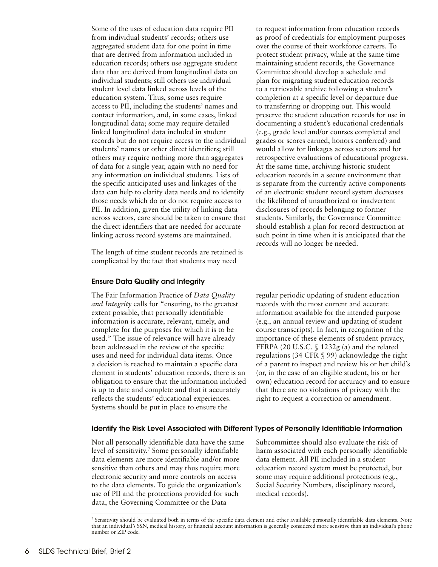Some of the uses of education data require PII from individual students' records; others use aggregated student data for one point in time that are derived from information included in education records; others use aggregate student data that are derived from longitudinal data on individual students; still others use individual student level data linked across levels of the education system. Thus, some uses require access to PII, including the students' names and contact information, and, in some cases, linked longitudinal data; some may require detailed linked longitudinal data included in student records but do not require access to the individual students' names or other direct identifiers; still others may require nothing more than aggregates of data for a single year, again with no need for any information on individual students. Lists of the specific anticipated uses and linkages of the data can help to clarify data needs and to identify those needs which do or do not require access to PII. In addition, given the utility of linking data across sectors, care should be taken to ensure that the direct identifiers that are needed for accurate linking across record systems are maintained.

The length of time student records are retained is complicated by the fact that students may need

#### Ensure Data Quality and Integrity

The Fair Information Practice of *Data Quality and Integrity* calls for "ensuring, to the greatest extent possible, that personally identifiable information is accurate, relevant, timely, and complete for the purposes for which it is to be used." The issue of relevance will have already been addressed in the review of the specific uses and need for individual data items. Once a decision is reached to maintain a specific data element in students' education records, there is an obligation to ensure that the information included is up to date and complete and that it accurately reflects the students' educational experiences. Systems should be put in place to ensure the

to request information from education records as proof of credentials for employment purposes over the course of their workforce careers. To protect student privacy, while at the same time maintaining student records, the Governance Committee should develop a schedule and plan for migrating student education records to a retrievable archive following a student's completion at a specific level or departure due to transferring or dropping out. This would preserve the student education records for use in documenting a student's educational credentials (e.g., grade level and/or courses completed and grades or scores earned, honors conferred) and would allow for linkages across sectors and for retrospective evaluations of educational progress. At the same time, archiving historic student education records in a secure environment that is separate from the currently active components of an electronic student record system decreases the likelihood of unauthorized or inadvertent disclosures of records belonging to former students. Similarly, the Governance Committee should establish a plan for record destruction at such point in time when it is anticipated that the records will no longer be needed.

regular periodic updating of student education records with the most current and accurate information available for the intended purpose (e.g., an annual review and updating of student course transcripts). In fact, in recognition of the importance of these elements of student privacy, FERPA (20 U.S.C. § 1232g (a) and the related regulations (34 CFR § 99) acknowledge the right of a parent to inspect and review his or her child's (or, in the case of an eligible student, his or her own) education record for accuracy and to ensure that there are no violations of privacy with the right to request a correction or amendment.

#### Identify the Risk Level Associated with Different Types of Personally Identifiable Information

Not all personally identifiable data have the same Subcommittee should also evaluate the risk of level of sensitivity.<sup>7</sup> Some personally identifiable data elements are more identifiable and/or more data element. All PII included in a student sensitive than others and may thus require more education record system must be protected, but electronic security and more controls on access some may require additional protections (e.g., to the data elements. To guide the organization's Social Security Numbers, disciplinary record, use of PII and the protections provided for such medical records). data, the Governing Committee or the Data

harm associated with each personally identifiable

<sup>7</sup> Sensitivity should be evaluated both in terms of the specific data element and other available personally identifiable data elements. Note that an individual's SSN, medical history, or financial account information is generally considered more sensitive than an individual's phone number or ZIP code.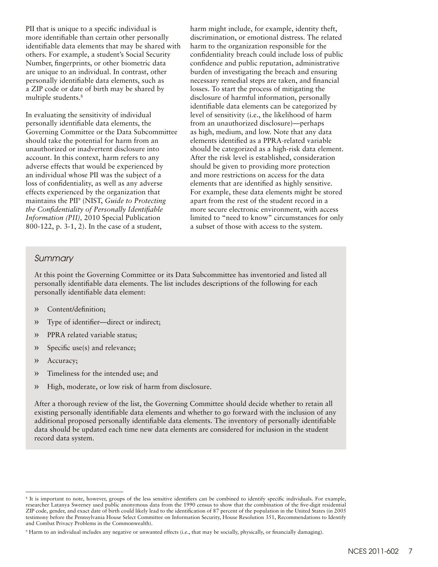PII that is unique to a specific individual is more identifiable than certain other personally identifiable data elements that may be shared with others. For example, a student's Social Security Number, fingerprints, or other biometric data are unique to an individual. In contrast, other personally identifiable data elements, such as a ZIP code or date of birth may be shared by multiple students.<sup>8</sup>

In evaluating the sensitivity of individual personally identifiable data elements, the Governing Committee or the Data Subcommittee should take the potential for harm from an unauthorized or inadvertent disclosure into account. In this context, harm refers to any adverse effects that would be experienced by an individual whose PII was the subject of a loss of confidentiality, as well as any adverse effects experienced by the organization that maintains the PII9 (NIST, *Guide to Protecting the Confidentiality of Personally Identifiable Information (PII),* 2010 Special Publication 800-122, p. 3-1, 2). In the case of a student,

harm might include, for example, identity theft, discrimination, or emotional distress. The related harm to the organization responsible for the confidentiality breach could include loss of public confidence and public reputation, administrative burden of investigating the breach and ensuring necessary remedial steps are taken, and financial losses. To start the process of mitigating the disclosure of harmful information, personally identifiable data elements can be categorized by level of sensitivity (i.e., the likelihood of harm from an unauthorized disclosure)—perhaps as high, medium, and low. Note that any data elements identified as a PPRA-related variable should be categorized as a high-risk data element. After the risk level is established, consideration should be given to providing more protection and more restrictions on access for the data elements that are identified as highly sensitive. For example, these data elements might be stored apart from the rest of the student record in a more secure electronic environment, with access limited to "need to know" circumstances for only a subset of those with access to the system.

#### *Summary*

At this point the Governing Committee or its Data Subcommittee has inventoried and listed all personally identifiable data elements. The list includes descriptions of the following for each personally identifiable data element:

- » Content/definition;
- » Type of identifier—direct or indirect;
- » PPRA related variable status;
- » Specific use(s) and relevance;
- » Accuracy;
- » Timeliness for the intended use; and
- » High, moderate, or low risk of harm from disclosure.

After a thorough review of the list, the Governing Committee should decide whether to retain all existing personally identifiable data elements and whether to go forward with the inclusion of any additional proposed personally identifiable data elements. The inventory of personally identifiable data should be updated each time new data elements are considered for inclusion in the student record data system.

<sup>8</sup> It is important to note, however, groups of the less sensitive identifiers can be combined to identify specific individuals. For example, researcher Latanya Sweeney used public anonymous data from the 1990 census to show that the combination of the five-digit residential ZIP code, gender, and exact date of birth could likely lead to the identification of 87 percent of the population in the United States (in 2005 testimony before the Pennsylvania House Select Committee on Information Security, House Resolution 351, Recommendations to Identify and Combat Privacy Problems in the Commonwealth).

<sup>9</sup> Harm to an individual includes any negative or unwanted effects (i.e., that may be socially, physically, or financially damaging).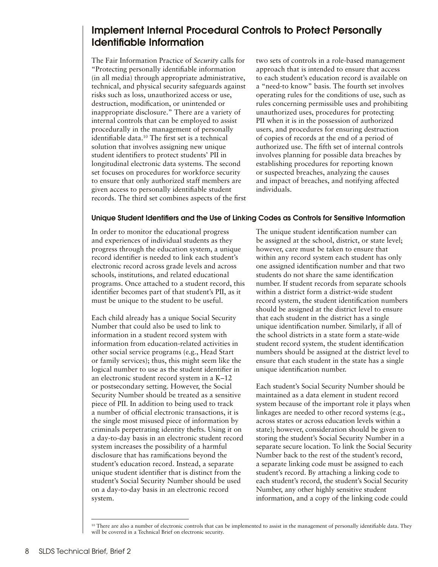## <span id="page-7-0"></span>Implement Internal Procedural Controls to Protect Personally Identifiable Information

The Fair Information Practice of *Security* calls for "Protecting personally identifiable information (in all media) through appropriate administrative, technical, and physical security safeguards against risks such as loss, unauthorized access or use, destruction, modification, or unintended or inappropriate disclosure." There are a variety of internal controls that can be employed to assist procedurally in the management of personally identifiable data.10 The first set is a technical solution that involves assigning new unique student identifiers to protect students' PII in longitudinal electronic data systems. The second set focuses on procedures for workforce security to ensure that only authorized staff members are given access to personally identifiable student records. The third set combines aspects of the first two sets of controls in a role-based management approach that is intended to ensure that access to each student's education record is available on a "need-to know" basis. The fourth set involves operating rules for the conditions of use, such as rules concerning permissible uses and prohibiting unauthorized uses, procedures for protecting PII when it is in the possession of authorized users, and procedures for ensuring destruction of copies of records at the end of a period of authorized use. The fifth set of internal controls involves planning for possible data breaches by establishing procedures for reporting known or suspected breaches, analyzing the causes and impact of breaches, and notifying affected individuals.

#### Unique Student Identifiers and the Use of Linking Codes as Controls for Sensitive Information

In order to monitor the educational progress and experiences of individual students as they progress through the education system, a unique record identifier is needed to link each student's electronic record across grade levels and across schools, institutions, and related educational programs. Once attached to a student record, this identifier becomes part of that student's PII, as it must be unique to the student to be useful.

Each child already has a unique Social Security Number that could also be used to link to information in a student record system with information from education-related activities in other social service programs (e.g., Head Start or family services); thus, this might seem like the logical number to use as the student identifier in an electronic student record system in a K–12 or postsecondary setting. However, the Social Security Number should be treated as a sensitive piece of PII. In addition to being used to track a number of official electronic transactions, it is the single most misused piece of information by criminals perpetrating identity thefts. Using it on a day-to-day basis in an electronic student record system increases the possibility of a harmful disclosure that has ramifications beyond the student's education record. Instead, a separate unique student identifier that is distinct from the student's Social Security Number should be used on a day-to-day basis in an electronic record system.

The unique student identification number can be assigned at the school, district, or state level; however, care must be taken to ensure that within any record system each student has only one assigned identification number and that two students do not share the same identification number. If student records from separate schools within a district form a district-wide student record system, the student identification numbers should be assigned at the district level to ensure that each student in the district has a single unique identification number. Similarly, if all of the school districts in a state form a state-wide student record system, the student identification numbers should be assigned at the district level to ensure that each student in the state has a single unique identification number.

Each student's Social Security Number should be maintained as a data element in student record system because of the important role it plays when linkages are needed to other record systems (e.g., across states or across education levels within a state); however, consideration should be given to storing the student's Social Security Number in a separate secure location. To link the Social Security Number back to the rest of the student's record, a separate linking code must be assigned to each student's record. By attaching a linking code to each student's record, the student's Social Security Number, any other highly sensitive student information, and a copy of the linking code could

<sup>&</sup>lt;sup>10</sup> There are also a number of electronic controls that can be implemented to assist in the management of personally identifiable data. They will be covered in a Technical Brief on electronic security.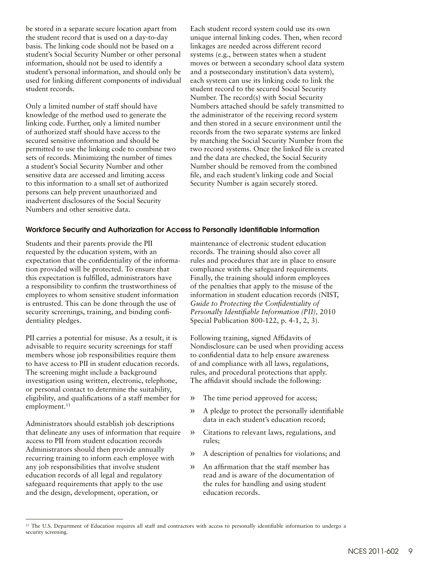be stored in a separate secure location apart from the student record that is used on a day-to-day basis. The linking code should not be based on a student's Social Security Number or other personal information, should not be used to identify a student's personal information, and should only be used for linking different components of individual student records.

Only a limited number of staff should have knowledge of the method used to generate the linking code. Further, only a limited number of authorized staff should have access to the secured sensitive information and should be permitted to use the linking code to combine two sets of records. Minimizing the number of times a student's Social Security Number and other sensitive data are accessed and limiting access to this information to a small set of authorized persons can help prevent unauthorized and inadvertent disclosures of the Social Security Numbers and other sensitive data.

Each student record system could use its own unique internal linking codes. Then, when record linkages are needed across different record systems (e.g., between states when a student moves or between a secondary school data system and a postsecondary institution's data system), each system can use its linking code to link the student record to the secured Social Security Number. The record(s) with Social Security Numbers attached should be safely transmitted to the administrator of the receiving record system and then stored in a secure environment until the records from the two separate systems are linked by matching the Social Security Number from the two record systems. Once the linked file is created and the data are checked, the Social Security Number should be removed from the combined file, and each student's linking code and Social Security Number is again securely stored.

#### Workforce Security and Authorization for Access to Personally Identifiable Information

Students and their parents provide the PII requested by the education system, with an expectation that the confidentiality of the information provided will be protected. To ensure that this expectation is fulfilled, administrators have a responsibility to confirm the trustworthiness of employees to whom sensitive student information is entrusted. This can be done through the use of security screenings, training, and binding confidentiality pledges.

PII carries a potential for misuse. As a result, it is advisable to require security screenings for staff members whose job responsibilities require them to have access to PII in student education records. The screening might include a background investigation using written, electronic, telephone, or personal contact to determine the suitability, eligibility, and qualifications of a staff member for employment.<sup>11</sup>

Administrators should establish job descriptions that delineate any uses of information that require access to PII from student education records Administrators should then provide annually recurring training to inform each employee with any job responsibilities that involve student education records of all legal and regulatory safeguard requirements that apply to the use and the design, development, operation, or

maintenance of electronic student education records. The training should also cover all rules and procedures that are in place to ensure compliance with the safeguard requirements. Finally, the training should inform employees of the penalties that apply to the misuse of the information in student education records (NIST, *Guide to Protecting the Confidentiality of Personally Identifiable Information (PII),* 2010 Special Publication 800-122, p. 4-1, 2, 3).

Following training, signed Affidavits of Nondisclosure can be used when providing access to confidential data to help ensure awareness of and compliance with all laws, regulations, rules, and procedural protections that apply. The affidavit should include the following:

- » The time period approved for access;
- » A pledge to protect the personally identifiable data in each student's education record;
- » Citations to relevant laws, regulations, and rules;
- » A description of penalties for violations; and
- » An affirmation that the staff member has read and is aware of the documentation of the rules for handling and using student education records.

<sup>&</sup>lt;sup>11</sup> The U.S. Department of Education requires all staff and contractors with access to personally identifiable information to undergo a security screening.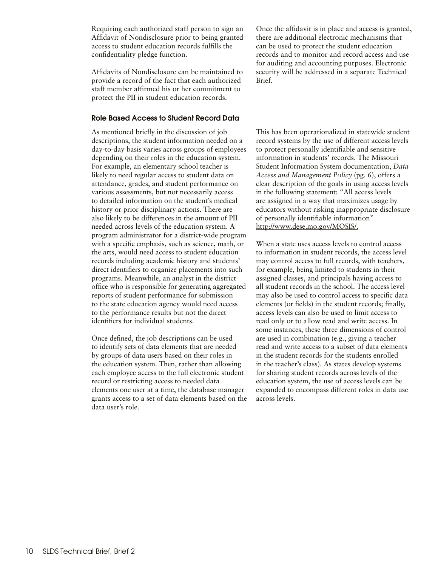Requiring each authorized staff person to sign an Affidavit of Nondisclosure prior to being granted access to student education records fulfills the confidentiality pledge function.

Affidavits of Nondisclosure can be maintained to provide a record of the fact that each authorized staff member affirmed his or her commitment to protect the PII in student education records.

#### Role Based Access to Student Record Data

As mentioned briefly in the discussion of job descriptions, the student information needed on a day-to-day basis varies across groups of employees depending on their roles in the education system. For example, an elementary school teacher is likely to need regular access to student data on attendance, grades, and student performance on various assessments, but not necessarily access to detailed information on the student's medical history or prior disciplinary actions. There are also likely to be differences in the amount of PII needed across levels of the education system. A program administrator for a district-wide program with a specific emphasis, such as science, math, or the arts, would need access to student education records including academic history and students' direct identifiers to organize placements into such programs. Meanwhile, an analyst in the district office who is responsible for generating aggregated reports of student performance for submission to the state education agency would need access to the performance results but not the direct identifiers for individual students.

Once defined, the job descriptions can be used to identify sets of data elements that are needed by groups of data users based on their roles in the education system. Then, rather than allowing each employee access to the full electronic student record or restricting access to needed data elements one user at a time, the database manager grants access to a set of data elements based on the data user's role.

Once the affidavit is in place and access is granted, there are additional electronic mechanisms that can be used to protect the student education records and to monitor and record access and use for auditing and accounting purposes. Electronic security will be addressed in a separate Technical Brief.

This has been operationalized in statewide student record systems by the use of different access levels to protect personally identifiable and sensitive information in students' records. The Missouri Student Information System documentation, *Data Access and Management Policy* (pg. 6), offers a clear description of the goals in using access levels in the following statement: "All access levels are assigned in a way that maximizes usage by educators without risking inappropriate disclosure of personally identifiable information" <http://www.dese.mo.gov/MOSIS/>.

When a state uses access levels to control access to information in student records, the access level may control access to full records, with teachers, for example, being limited to students in their assigned classes, and principals having access to all student records in the school. The access level may also be used to control access to specific data elements (or fields) in the student records; finally, access levels can also be used to limit access to read only or to allow read and write access. In some instances, these three dimensions of control are used in combination (e.g., giving a teacher read and write access to a subset of data elements in the student records for the students enrolled in the teacher's class). As states develop systems for sharing student records across levels of the education system, the use of access levels can be expanded to encompass different roles in data use across levels.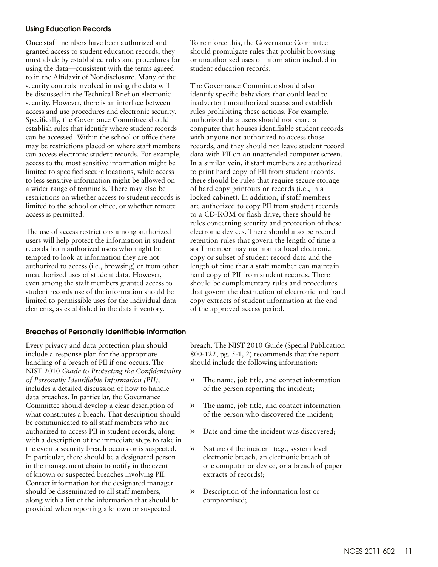#### Using Education Records

Once staff members have been authorized and granted access to student education records, they must abide by established rules and procedures for using the data—consistent with the terms agreed to in the Affidavit of Nondisclosure. Many of the security controls involved in using the data will be discussed in the Technical Brief on electronic security. However, there is an interface between access and use procedures and electronic security. Specifically, the Governance Committee should establish rules that identify where student records can be accessed. Within the school or office there may be restrictions placed on where staff members can access electronic student records. For example, access to the most sensitive information might be limited to specified secure locations, while access to less sensitive information might be allowed on a wider range of terminals. There may also be restrictions on whether access to student records is limited to the school or office, or whether remote access is permitted.

The use of access restrictions among authorized users will help protect the information in student records from authorized users who might be tempted to look at information they are not authorized to access (i.e., browsing) or from other unauthorized uses of student data. However, even among the staff members granted access to student records use of the information should be limited to permissible uses for the individual data elements, as established in the data inventory.

#### Breaches of Personally Identifiable Information

Every privacy and data protection plan should include a response plan for the appropriate handling of a breach of PII if one occurs. The NIST 2010 *Guide to Protecting the Confidentiality of Personally Identifiable Information (PII),* includes a detailed discussion of how to handle data breaches. In particular, the Governance Committee should develop a clear description of what constitutes a breach. That description should be communicated to all staff members who are authorized to access PII in student records, along with a description of the immediate steps to take in the event a security breach occurs or is suspected. In particular, there should be a designated person in the management chain to notify in the event of known or suspected breaches involving PII. Contact information for the designated manager should be disseminated to all staff members, along with a list of the information that should be provided when reporting a known or suspected

To reinforce this, the Governance Committee should promulgate rules that prohibit browsing or unauthorized uses of information included in student education records.

The Governance Committee should also identify specific behaviors that could lead to inadvertent unauthorized access and establish rules prohibiting these actions. For example, authorized data users should not share a computer that houses identifiable student records with anyone not authorized to access those records, and they should not leave student record data with PII on an unattended computer screen. In a similar vein, if staff members are authorized to print hard copy of PII from student records, there should be rules that require secure storage of hard copy printouts or records (i.e., in a locked cabinet). In addition, if staff members are authorized to copy PII from student records to a CD-ROM or flash drive, there should be rules concerning security and protection of these electronic devices. There should also be record retention rules that govern the length of time a staff member may maintain a local electronic copy or subset of student record data and the length of time that a staff member can maintain hard copy of PII from student records. There should be complementary rules and procedures that govern the destruction of electronic and hard copy extracts of student information at the end of the approved access period.

breach. The NIST 2010 Guide (Special Publication 800-122, pg. 5-1, 2) recommends that the report should include the following information:

- » The name, job title, and contact information of the person reporting the incident;
- » The name, job title, and contact information of the person who discovered the incident;
- » Date and time the incident was discovered;
- » Nature of the incident (e.g., system level electronic breach, an electronic breach of one computer or device, or a breach of paper extracts of records);
- » Description of the information lost or compromised;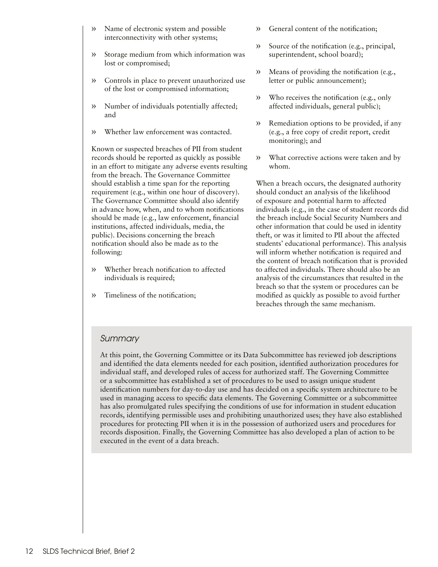- » Name of electronic system and possible interconnectivity with other systems;
- » Storage medium from which information was lost or compromised;
- » Controls in place to prevent unauthorized use of the lost or compromised information;
- » Number of individuals potentially affected; and
- » Whether law enforcement was contacted.

Known or suspected breaches of PII from student records should be reported as quickly as possible in an effort to mitigate any adverse events resulting from the breach. The Governance Committee should establish a time span for the reporting requirement (e.g., within one hour of discovery). The Governance Committee should also identify in advance how, when, and to whom notifications should be made (e.g., law enforcement, financial institutions, affected individuals, media, the public). Decisions concerning the breach notification should also be made as to the following:

- » Whether breach notification to affected individuals is required;
- » Timeliness of the notification;
- » General content of the notification;
- » Source of the notification (e.g., principal, superintendent, school board);
- » Means of providing the notification (e.g., letter or public announcement);
- » Who receives the notification (e.g., only affected individuals, general public);
- » Remediation options to be provided, if any (e.g., a free copy of credit report, credit monitoring); and
- » What corrective actions were taken and by whom.

When a breach occurs, the designated authority should conduct an analysis of the likelihood of exposure and potential harm to affected individuals (e.g., in the case of student records did the breach include Social Security Numbers and other information that could be used in identity theft, or was it limited to PII about the affected students' educational performance). This analysis will inform whether notification is required and the content of breach notification that is provided to affected individuals. There should also be an analysis of the circumstances that resulted in the breach so that the system or procedures can be modified as quickly as possible to avoid further breaches through the same mechanism.

### *Summary*

At this point, the Governing Committee or its Data Subcommittee has reviewed job descriptions and identified the data elements needed for each position, identified authorization procedures for individual staff, and developed rules of access for authorized staff. The Governing Committee or a subcommittee has established a set of procedures to be used to assign unique student identification numbers for day-to-day use and has decided on a specific system architecture to be used in managing access to specific data elements. The Governing Committee or a subcommittee has also promulgated rules specifying the conditions of use for information in student education records, identifying permissible uses and prohibiting unauthorized uses; they have also established procedures for protecting PII when it is in the possession of authorized users and procedures for records disposition. Finally, the Governing Committee has also developed a plan of action to be executed in the event of a data breach.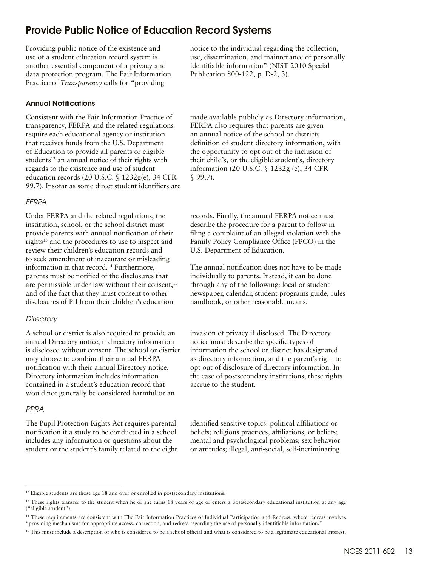## <span id="page-12-0"></span>Provide Public Notice of Education Record Systems

Providing public notice of the existence and use of a student education record system is another essential component of a privacy and data protection program. The Fair Information Practice of *Transparency* calls for "providing

#### Annual Notifications

Consistent with the Fair Information Practice of transparency, FERPA and the related regulations require each educational agency or institution that receives funds from the U.S. Department of Education to provide all parents or eligible students<sup>12</sup> an annual notice of their rights with regards to the existence and use of student education records (20 U.S.C. § 1232g(e), 34 CFR 99.7). Insofar as some direct student identifiers are

#### *FERPA*

Under FERPA and the related regulations, the institution, school, or the school district must provide parents with annual notification of their rights<sup>13</sup> and the procedures to use to inspect and review their children's education records and to seek amendment of inaccurate or misleading information in that record.14 Furthermore, parents must be notified of the disclosures that are permissible under law without their consent,<sup>15</sup> and of the fact that they must consent to other disclosures of PII from their children's education

#### *Directory*

A school or district is also required to provide an annual Directory notice, if directory information is disclosed without consent. The school or district may choose to combine their annual FERPA notification with their annual Directory notice. Directory information includes information contained in a student's education record that would not generally be considered harmful or an

#### *PPRA*

The Pupil Protection Rights Act requires parental notification if a study to be conducted in a school includes any information or questions about the student or the student's family related to the eight notice to the individual regarding the collection, use, dissemination, and maintenance of personally identifiable information" (NIST 2010 Special Publication 800-122, p. D-2, 3).

made available publicly as Directory information, FERPA also requires that parents are given an annual notice of the school or districts definition of student directory information, with the opportunity to opt out of the inclusion of their child's, or the eligible student's, directory information (20 U.S.C. § 1232g (e), 34 CFR § 99.7).

records. Finally, the annual FERPA notice must describe the procedure for a parent to follow in filing a complaint of an alleged violation with the Family Policy Compliance Office (FPCO) in the U.S. Department of Education.

The annual notification does not have to be made individually to parents. Instead, it can be done through any of the following: local or student newspaper, calendar, student programs guide, rules handbook, or other reasonable means.

invasion of privacy if disclosed. The Directory notice must describe the specific types of information the school or district has designated as directory information, and the parent's right to opt out of disclosure of directory information. In the case of postsecondary institutions, these rights accrue to the student.

identified sensitive topics: political affiliations or beliefs; religious practices, affiliations, or beliefs; mental and psychological problems; sex behavior or attitudes; illegal, anti-social, self-incriminating

<sup>&</sup>lt;sup>12</sup> Eligible students are those age 18 and over or enrolled in postsecondary institutions.

<sup>&</sup>lt;sup>13</sup> These rights transfer to the student when he or she turns 18 years of age or enters a postsecondary educational institution at any age ("eligible student").

<sup>&</sup>lt;sup>14</sup> These requirements are consistent with The Fair Information Practices of Individual Participation and Redress, where redress involves "providing mechanisms for appropriate access, correction, and redress regarding the use of personally identifiable information."

<sup>&</sup>lt;sup>15</sup> This must include a description of who is considered to be a school official and what is considered to be a legitimate educational interest.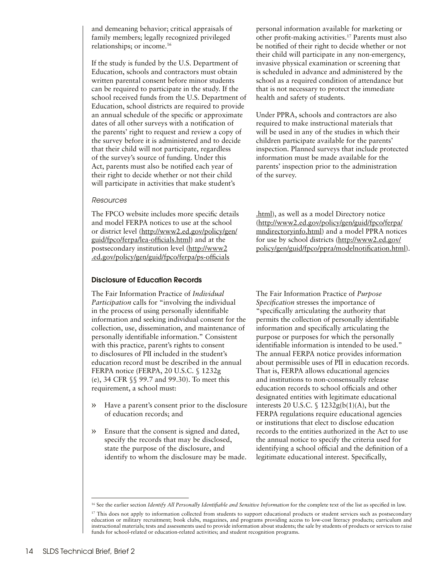and demeaning behavior; critical appraisals of family members; legally recognized privileged relationships; or income.16

If the study is funded by the U.S. Department of Education, schools and contractors must obtain written parental consent before minor students can be required to participate in the study. If the school received funds from the U.S. Department of Education, school districts are required to provide an annual schedule of the specific or approximate dates of all other surveys with a notification of the parents' right to request and review a copy of the survey before it is administered and to decide that their child will not participate, regardless of the survey's source of funding. Under this Act, parents must also be notified each year of their right to decide whether or not their child will participate in activities that make student's

#### *Resources*

The FPCO website includes more specific details and model FERPA notices to use at the school or district level ([http://www2.ed.gov/policy/gen/](http://www2.ed.gov/policy/gen/guid/fpco/ferpa/lea-officials.html) [guid/fpco/ferpa/lea-officials.html](http://www2.ed.gov/policy/gen/guid/fpco/ferpa/lea-officials.html)) and at the postsecondary institution level ([http://www2](http://www2 .ed.gov/policy/gen/guid/fpco/ferpa/ps-officials .html) [.ed.gov/policy/gen/guid/fpco/ferpa/ps-officials](http://www2 .ed.gov/policy/gen/guid/fpco/ferpa/ps-officials .html)

#### Disclosure of Education Records

The Fair Information Practice of *Individual Participation* calls for "involving the individual in the process of using personally identifiable information and seeking individual consent for the collection, use, dissemination, and maintenance of personally identifiable information." Consistent with this practice, parent's rights to consent to disclosures of PII included in the student's education record must be described in the annual FERPA notice (FERPA, 20 U.S.C. § 1232g (e), 34 CFR §§ 99.7 and 99.30). To meet this requirement, a school must:

- » Have a parent's consent prior to the disclosure of education records; and
- » Ensure that the consent is signed and dated, specify the records that may be disclosed, state the purpose of the disclosure, and identify to whom the disclosure may be made.

personal information available for marketing or other profit-making activities.17 Parents must also be notified of their right to decide whether or not their child will participate in any non-emergency, invasive physical examination or screening that is scheduled in advance and administered by the school as a required condition of attendance but that is not necessary to protect the immediate health and safety of students.

Under PPRA, schools and contractors are also required to make instructional materials that will be used in any of the studies in which their children participate available for the parents' inspection. Planned surveys that include protected information must be made available for the parents' inspection prior to the administration of the survey.

[.html\)](http://www2 .ed.gov/policy/gen/guid/fpco/ferpa/ps-officials .html), as well as a model Directory notice [\(http://www2.ed.gov/policy/gen/guid/fpco/ferpa/](http://www2.ed.gov/policy/gen/guid/fpco/ferpa/mndirectoryinfo.html) [mndirectoryinfo.html\)](http://www2.ed.gov/policy/gen/guid/fpco/ferpa/mndirectoryinfo.html) and a model PPRA notices for use by school districts ([http://www2.ed.gov/](http://www2.ed.gov/policy/gen/guid/fpco/ppra/modelnotification.html) [policy/gen/guid/fpco/ppra/modelnotification.html](http://www2.ed.gov/policy/gen/guid/fpco/ppra/modelnotification.html)).

The Fair Information Practice of *Purpose Specification* stresses the importance of "specifically articulating the authority that permits the collection of personally identifiable information and specifically articulating the purpose or purposes for which the personally identifiable information is intended to be used." The annual FERPA notice provides information about permissible uses of PII in education records. That is, FERPA allows educational agencies and institutions to non-consensually release education records to school officials and other designated entities with legitimate educational interests 20 U.S.C.  $\int$  1232g(b(1)(A), but the FERPA regulations require educational agencies or institutions that elect to disclose education records to the entities authorized in the Act to use the annual notice to specify the criteria used for identifying a school official and the definition of a legitimate educational interest. Specifically,

<sup>&</sup>lt;sup>16</sup> See the earlier section *Identify All Personally Identifiable and Sensitive Information* for the complete text of the list as specified in law.

<sup>&</sup>lt;sup>17</sup> This does not apply to information collected from students to support educational products or student services such as postsecondary education or military recruitment; book clubs, magazines, and programs providing access to low-cost literacy products; curriculum and instructional materials; tests and assessments used to provide information about students; the sale by students of products or services to raise funds for school-related or education-related activities; and student recognition programs.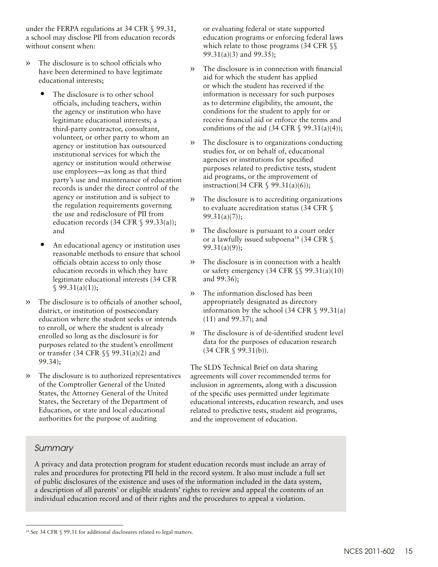under the FERPA regulations at 34 CFR § 99.31, a school may disclose PII from education records without consent when:

- » The disclosure is to school officials who have been determined to have legitimate educational interests;
	- The disclosure is to other school officials, including teachers, within the agency or institution who have legitimate educational interests; a third-party contractor, consultant, volunteer, or other party to whom an agency or institution has outsourced institutional services for which the agency or institution would otherwise use employees—as long as that third party's use and maintenance of education records is under the direct control of the agency or institution and is subject to the regulation requirements governing the use and redisclosure of PII from education records (34 CFR  $\$$  99.33(a)); and
	- An educational agency or institution uses reasonable methods to ensure that school officials obtain access to only those education records in which they have legitimate educational interests (34 CFR  $$99.31(a)(1));$
- » The disclosure is to officials of another school, district, or institution of postsecondary education where the student seeks or intends to enroll, or where the student is already enrolled so long as the disclosure is for purposes related to the student's enrollment or transfer (34 CFR §§ 99.31(a)(2) and 99.34);
- The disclosure is to authorized representatives of the Comptroller General of the United States, the Attorney General of the United States, the Secretary of the Department of Education, or state and local educational authorities for the purpose of auditing

or evaluating federal or state supported education programs or enforcing federal laws which relate to those programs (34 CFR §§ 99.31(a)(3) and 99.35);

- » The disclosure is in connection with financial aid for which the student has applied or which the student has received if the information is necessary for such purposes as to determine eligibility, the amount, the conditions for the student to apply for or receive financial aid or enforce the terms and conditions of the aid  $(34 \text{ CFR } \text{S } 99.31(a)(4));$
- » The disclosure is to organizations conducting studies for, or on behalf of, educational agencies or institutions for specified purposes related to predictive tests, student aid programs, or the improvement of instruction(34 CFR § 99.31(a)(6));
- » The disclosure is to accrediting organizations to evaluate accreditation status (34 CFR §  $99.31(a)(7)$ ;
- » The disclosure is pursuant to a court order or a lawfully issued subpoena<sup>18</sup> (34 CFR  $\$ 99.31(a)(9));
- » The disclosure is in connection with a health or safety emergency (34 CFR  $\S$  $\$ 99.31(a)(10) and 99.36);
- » The information disclosed has been appropriately designated as directory information by the school (34 CFR  $\S$  99.31(a) (11) and 99.37); and
- » The disclosure is of de-identified student level data for the purposes of education research (34 CFR § 99.31(b)).

The SLDS Technical Brief on data sharing agreements will cover recommended terms for inclusion in agreements, along with a discussion of the specific uses permitted under legitimate educational interests, education research, and uses related to predictive tests, student aid programs, and the improvement of education.

## *Summary*

A privacy and data protection program for student education records must include an array of rules and procedures for protecting PII held in the record system. It also must include a full set of public disclosures of the existence and uses of the information included in the data system, a description of all parents' or eligible students' rights to review and appeal the contents of an individual education record and of their rights and the procedures to appeal a violation.

<sup>18</sup> See 34 CFR § 99.31 for additional disclosures related to legal matters.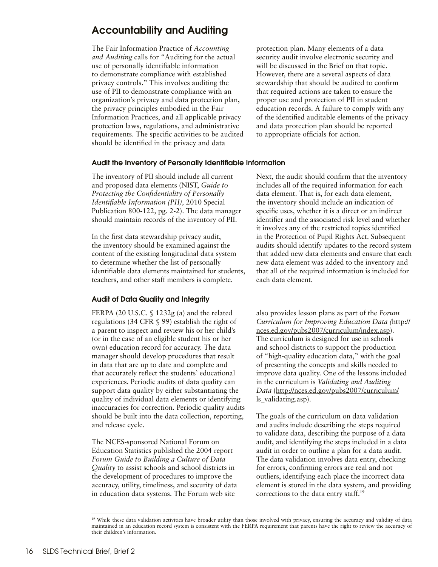# <span id="page-15-0"></span>Accountability and Auditing

The Fair Information Practice of *Accounting and Auditing* calls for "Auditing for the actual use of personally identifiable information to demonstrate compliance with established privacy controls." This involves auditing the use of PII to demonstrate compliance with an organization's privacy and data protection plan, the privacy principles embodied in the Fair Information Practices, and all applicable privacy protection laws, regulations, and administrative requirements. The specific activities to be audited should be identified in the privacy and data

protection plan. Many elements of a data security audit involve electronic security and will be discussed in the Brief on that topic. However, there are a several aspects of data stewardship that should be audited to confirm that required actions are taken to ensure the proper use and protection of PII in student education records. A failure to comply with any of the identified auditable elements of the privacy and data protection plan should be reported to appropriate officials for action.

#### Audit the Inventory of Personally Identifiable Information

The inventory of PII should include all current and proposed data elements (NIST, *Guide to Protecting the Confidentiality of Personally Identifiable Information (PII),* 2010 Special Publication 800-122, pg. 2-2). The data manager should maintain records of the inventory of PII.

In the first data stewardship privacy audit, the inventory should be examined against the content of the existing longitudinal data system to determine whether the list of personally identifiable data elements maintained for students, teachers, and other staff members is complete.

#### Audit of Data Quality and Integrity

FERPA (20 U.S.C. § 1232g (a) and the related regulations (34 CFR § 99) establish the right of a parent to inspect and review his or her child's (or in the case of an eligible student his or her own) education record for accuracy. The data manager should develop procedures that result in data that are up to date and complete and that accurately reflect the students' educational experiences. Periodic audits of data quality can support data quality by either substantiating the quality of individual data elements or identifying inaccuracies for correction. Periodic quality audits should be built into the data collection, reporting, and release cycle.

The NCES-sponsored National Forum on Education Statistics published the 2004 report *Forum Guide to Building a Culture of Data Quality* to assist schools and school districts in the development of procedures to improve the accuracy, utility, timeliness, and security of data in education data systems. The Forum web site

Next, the audit should confirm that the inventory includes all of the required information for each data element. That is, for each data element, the inventory should include an indication of specific uses, whether it is a direct or an indirect identifier and the associated risk level and whether it involves any of the restricted topics identified in the Protection of Pupil Rights Act. Subsequent audits should identify updates to the record system that added new data elements and ensure that each new data element was added to the inventory and that all of the required information is included for each data element.

also provides lesson plans as part of the *Forum Curriculum for Improving Education Data (*[http://](http://nces.ed.gov/pubs2007/curriculum/index.asp) [nces.ed.gov/pubs2007/curriculum/index.asp](http://nces.ed.gov/pubs2007/curriculum/index.asp)). The curriculum is designed for use in schools and school districts to support the production of "high-quality education data," with the goal of presenting the concepts and skills needed to improve data quality. One of the lessons included in the curriculum is *Validating and Auditing Data* ([http://nces.ed.gov/pubs2007/curriculum/](http://nces.ed.gov/pubs2007/curriculum/ls_validating.asp) [ls\\_validating.asp](http://nces.ed.gov/pubs2007/curriculum/ls_validating.asp)).

The goals of the curriculum on data validation and audits include describing the steps required to validate data, describing the purpose of a data audit, and identifying the steps included in a data audit in order to outline a plan for a data audit. The data validation involves data entry, checking for errors, confirming errors are real and not outliers, identifying each place the incorrect data element is stored in the data system, and providing corrections to the data entry staff.19

<sup>&</sup>lt;sup>19</sup> While these data validation activities have broader utility than those involved with privacy, ensuring the accuracy and validity of data maintained in an education record system is consistent with the FERPA requirement that parents have the right to review the accuracy of their children's information.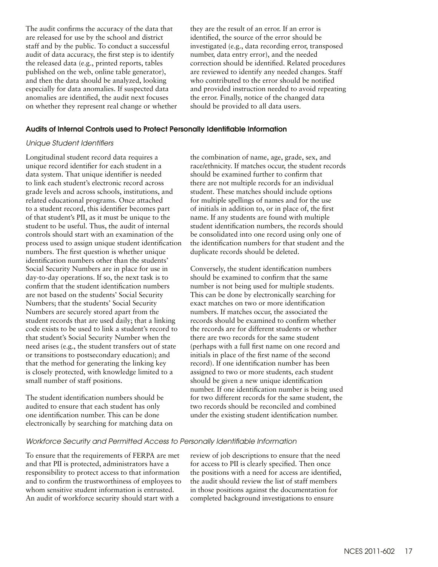The audit confirms the accuracy of the data that they are the result of an error. If an error is are released for use by the school and district identified, the source of the error should be audit of data accuracy, the first step is to identify number, data entry error), and the needed and then the data should be analyzed, looking who contributed to the error should be notified anomalies are identified, the audit next focuses the error. Finally, notice of the changed data on whether they represent real change or whether should be provided to all data users.

staff and by the public. To conduct a successful investigated (e.g., data recording error, transposed the released data (e.g., printed reports, tables correction should be identified. Related procedures published on the web, online table generator), are reviewed to identify any needed changes. Staff especially for data anomalies. If suspected data and provided instruction needed to avoid repeating

#### Audits of Internal Controls used to Protect Personally Identifiable Information

#### *Unique Student Identifiers*

Longitudinal student record data requires a unique record identifier for each student in a data system. That unique identifier is needed to link each student's electronic record across grade levels and across schools, institutions, and related educational programs. Once attached to a student record, this identifier becomes part of that student's PII, as it must be unique to the student to be useful. Thus, the audit of internal controls should start with an examination of the process used to assign unique student identification numbers. The first question is whether unique identification numbers other than the students' Social Security Numbers are in place for use in day-to-day operations. If so, the next task is to confirm that the student identification numbers are not based on the students' Social Security Numbers; that the students' Social Security Numbers are securely stored apart from the student records that are used daily; that a linking code exists to be used to link a student's record to that student's Social Security Number when the need arises (e.g., the student transfers out of state or transitions to postsecondary education); and that the method for generating the linking key is closely protected, with knowledge limited to a small number of staff positions.

The student identification numbers should be audited to ensure that each student has only one identification number. This can be done electronically by searching for matching data on the combination of name, age, grade, sex, and race/ethnicity. If matches occur, the student records should be examined further to confirm that there are not multiple records for an individual student. These matches should include options for multiple spellings of names and for the use of initials in addition to, or in place of, the first name. If any students are found with multiple student identification numbers, the records should be consolidated into one record using only one of the identification numbers for that student and the duplicate records should be deleted.

Conversely, the student identification numbers should be examined to confirm that the same number is not being used for multiple students. This can be done by electronically searching for exact matches on two or more identification numbers. If matches occur, the associated the records should be examined to confirm whether the records are for different students or whether there are two records for the same student (perhaps with a full first name on one record and initials in place of the first name of the second record). If one identification number has been assigned to two or more students, each student should be given a new unique identification number. If one identification number is being used for two different records for the same student, the two records should be reconciled and combined under the existing student identification number.

#### *Workforce Security and Permitted Access to Personally Identifiable Information*

To ensure that the requirements of FERPA are met and that PII is protected, administrators have a responsibility to protect access to that information and to confirm the trustworthiness of employees to whom sensitive student information is entrusted. An audit of workforce security should start with a

review of job descriptions to ensure that the need for access to PII is clearly specified. Then once the positions with a need for access are identified, the audit should review the list of staff members in those positions against the documentation for completed background investigations to ensure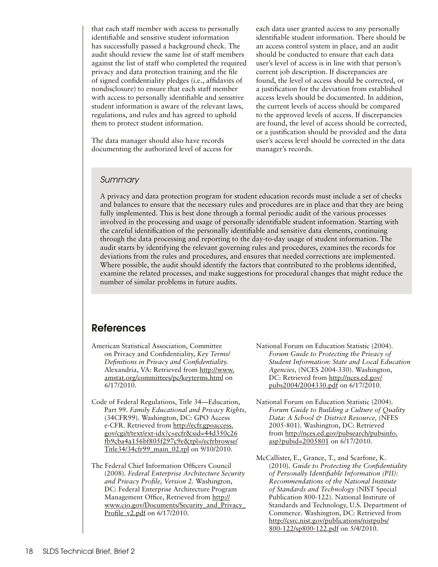<span id="page-17-0"></span>that each staff member with access to personally identifiable and sensitive student information has successfully passed a background check. The audit should review the same list of staff members against the list of staff who completed the required privacy and data protection training and the file of signed confidentiality pledges (i.e., affidavits of nondisclosure) to ensure that each staff member with access to personally identifiable and sensitive student information is aware of the relevant laws, regulations, and rules and has agreed to uphold them to protect student information.

The data manager should also have records documenting the authorized level of access for each data user granted access to any personally identifiable student information. There should be an access control system in place, and an audit should be conducted to ensure that each data user's level of access is in line with that person's current job description. If discrepancies are found, the level of access should be corrected, or a justification for the deviation from established access levels should be documented. In addition, the current levels of access should be compared to the approved levels of access. If discrepancies are found, the level of access should be corrected, or a justification should be provided and the data user's access level should be corrected in the data manager's records.

#### *Summary*

A privacy and data protection program for student education records must include a set of checks and balances to ensure that the necessary rules and procedures are in place and that they are being fully implemented. This is best done through a formal periodic audit of the various processes involved in the processing and usage of personally identifiable student information. Starting with the careful identification of the personally identifiable and sensitive data elements, continuing through the data processing and reporting to the day-to-day usage of student information. The audit starts by identifying the relevant governing rules and procedures, examines the records for deviations from the rules and procedures, and ensures that needed corrections are implemented. Where possible, the audit should identify the factors that contributed to the problems identified, examine the related processes, and make suggestions for procedural changes that might reduce the number of similar problems in future audits.

## References

- American Statistical Association, Committee on Privacy and Confidentiality, *Key Terms/ Definitions in Privacy and Confidentiality.* Alexandria, VA: Retrieved from [http://www.](http://www.amstat.org/committees/pc/keyterms.html) [amstat.org/committees/pc/keyterms.html](http://www.amstat.org/committees/pc/keyterms.html) on 6/17/2010.
- Code of Federal Regulations, Title 34—Education, Part 99. *Family Educational and Privacy Rights,* (34CFR99). Washington, DC: GPO Access e-CFR. Retrieved from [http://ecfr.gpoaccess.](http://ecfr.gpoaccess.gov/cgi/t/text/ext-idx?c=ecfr&sid=44d350c26fb9cba4a156bf805f297c9e&tpl=/ecfrbrowse/Title34/34cfr99_main_02.tpl) [gov/cgi/t/text/ext-idx?c=ecfr&sid=44d350c26](http://ecfr.gpoaccess.gov/cgi/t/text/ext-idx?c=ecfr&sid=44d350c26fb9cba4a156bf805f297c9e&tpl=/ecfrbrowse/Title34/34cfr99_main_02.tpl) [fb9cba4a156bf805f297c9e&tpl=/ecfrbrowse/](http://ecfr.gpoaccess.gov/cgi/t/text/ext-idx?c=ecfr&sid=44d350c26fb9cba4a156bf805f297c9e&tpl=/ecfrbrowse/Title34/34cfr99_main_02.tpl) [Title34/34cfr99\\_main\\_02.tpl](http://ecfr.gpoaccess.gov/cgi/t/text/ext-idx?c=ecfr&sid=44d350c26fb9cba4a156bf805f297c9e&tpl=/ecfrbrowse/Title34/34cfr99_main_02.tpl) on 9/10/2010.
- The Federal Chief Information Officers Council (2008). *Federal Enterprise Architecture Security and Privacy Profile, Version 2.* Washington, DC: Federal Enterprise Architecture Program Management Office, Retrieved from [http://](http://www.cio.gov/Documents/Security_and_Privacy_Profile_v2.pdf) [www.cio.gov/Documents/Security\\_and\\_Privacy\\_](http://www.cio.gov/Documents/Security_and_Privacy_Profile_v2.pdf) Profile v2.pdf on 6/17/2010.
- National Forum on Education Statistic (2004). *Forum Guide to Protecting the Privacy of Student Information: State and Local Education Agencies,* (NCES 2004-330). Washington, DC: Retrieved from [http://nces.ed.gov/](http://nces.ed.gov/pubs2004/2004330.pdf) [pubs2004/2004330.pdf](http://nces.ed.gov/pubs2004/2004330.pdf) on 6/17/2010.
- National Forum on Education Statistic (2004). *Forum Guide to Building a Culture of Quality Data: A School & District Resource,* (NFES 2005-801). Washington, DC: Retrieved from [http://nces.ed.gov/pubsearch/pubsinfo.](http://nces.ed.gov/pubsearch/pubsinfo.asp?pubid=2005801) [asp?pubid=2005801](http://nces.ed.gov/pubsearch/pubsinfo.asp?pubid=2005801) on 6/17/2010.
- McCallister, E., Grance, T., and Scarfone, K. (2010). *Guide to Protecting the Confidentiality of Personally Identifiable Information (PII): Recommendations of the National Institute of Standards and Technology* (NIST Special Publication 800-122). National Institute of Standards and Technology, U.S. Department of Commerce. Washington, DC: Retrieved from [http://csrc.nist.gov/publications/nistpubs/](http://csrc.nist.gov/publications/nistpubs/ 800-122/sp800-122.pdf) [800-122/sp800-122.pdf](http://csrc.nist.gov/publications/nistpubs/ 800-122/sp800-122.pdf) on 5/4/2010.